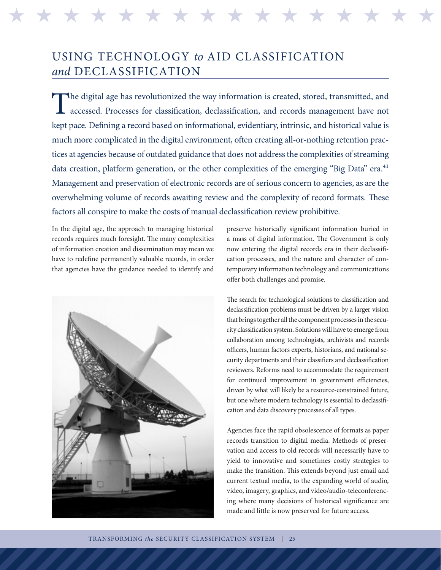H H H H H H H H H H H H H H H H H H H H H H H H H H H H H H H H

## USING TECHNOLOGY *to* AID CLASSIFICATION *and* DECLASSIFICATION

The digital age has revolutionized the way information is created, stored, transmitted, and accessed. Processes for classification, declassification, and records management have not accessed. Processes for classification, declassification, and records management have not kept pace. Defining a record based on informational, evidentiary, intrinsic, and historical value is much more complicated in the digital environment, often creating all-or-nothing retention practices at agencies because of outdated guidance that does not address the complexities of streaming data creation, platform generation, or the other complexities of the emerging "Big Data" era.<sup>41</sup> Management and preservation of electronic records are of serious concern to agencies, as are the overwhelming volume of records awaiting review and the complexity of record formats. These factors all conspire to make the costs of manual declassification review prohibitive.

In the digital age, the approach to managing historical records requires much foresight. The many complexities of information creation and dissemination may mean we have to redefine permanently valuable records, in order that agencies have the guidance needed to identify and



preserve historically significant information buried in a mass of digital information. The Government is only now entering the digital records era in their declassification processes, and the nature and character of contemporary information technology and communications offer both challenges and promise.

The search for technological solutions to classification and declassification problems must be driven by a larger vision that brings together all the component processes in the security classification system. Solutions will have to emerge from collaboration among technologists, archivists and records officers, human factors experts, historians, and national security departments and their classifiers and declassification reviewers. Reforms need to accommodate the requirement for continued improvement in government efficiencies, driven by what will likely be a resource-constrained future, but one where modern technology is essential to declassification and data discovery processes of all types.

Agencies face the rapid obsolescence of formats as paper records transition to digital media. Methods of preservation and access to old records will necessarily have to yield to innovative and sometimes costly strategies to make the transition. This extends beyond just email and current textual media, to the expanding world of audio, video, imagery, graphics, and video/audio-teleconferencing where many decisions of historical significance are made and little is now preserved for future access.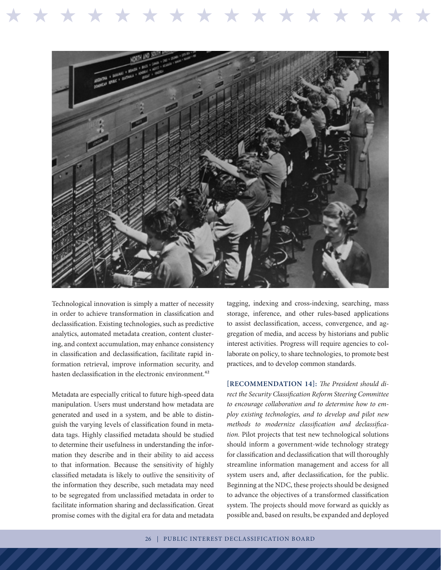

Technological innovation is simply a matter of necessity in order to achieve transformation in classification and declassification. Existing technologies, such as predictive analytics, automated metadata creation, content clustering, and context accumulation, may enhance consistency in classification and declassification, facilitate rapid information retrieval, improve information security, and hasten declassification in the electronic environment.<sup>42</sup>

Metadata are especially critical to future high-speed data manipulation. Users must understand how metadata are generated and used in a system, and be able to distinguish the varying levels of classification found in metadata tags. Highly classified metadata should be studied to determine their usefulness in understanding the information they describe and in their ability to aid access to that information. Because the sensitivity of highly classified metadata is likely to outlive the sensitivity of the information they describe, such metadata may need to be segregated from unclassified metadata in order to facilitate information sharing and declassification. Great promise comes with the digital era for data and metadata

tagging, indexing and cross-indexing, searching, mass storage, inference, and other rules-based applications to assist declassification, access, convergence, and aggregation of media, and access by historians and public interest activities. Progress will require agencies to collaborate on policy, to share technologies, to promote best practices, and to develop common standards.

\* \* \* \* \* \* \* \* \* \* \* \* \* \* \* \* \*

**[RECOMMENDATION 14]:** *The President should direct the Security Classification Reform Steering Committee to encourage collaboration and to determine how to employ existing technologies, and to develop and pilot new methods to modernize classification and declassification.* Pilot projects that test new technological solutions should inform a government-wide technology strategy for classification and declassification that will thoroughly streamline information management and access for all system users and, after declassification, for the public. Beginning at the NDC, these projects should be designed to advance the objectives of a transformed classification system. The projects should move forward as quickly as possible and, based on results, be expanded and deployed